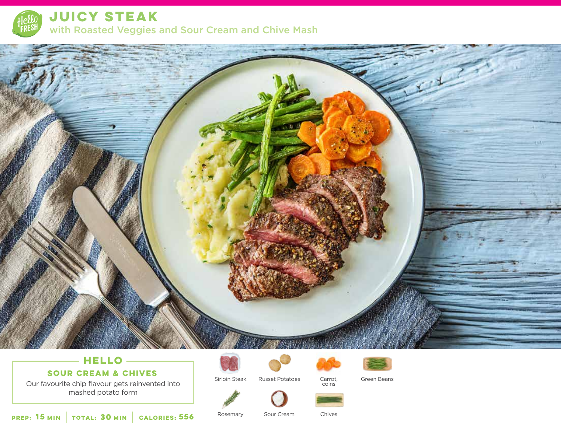

**JUICY STEAK**  with Roasted Veggies and Sour Cream and Chive Mash



# **HELLO**

**SOUR CREAM & CHIVES**

Our favourite chip flavour gets reinvented into mashed potato form



Sirloin Steak





Russet Potatoes Carrot, Green Beans

**15** MIN **TOTAL: 30 MIN CALORIES: 556** Rosemary Sour Cream Chives

Rosemary

Sour Cream

Carrot, coins